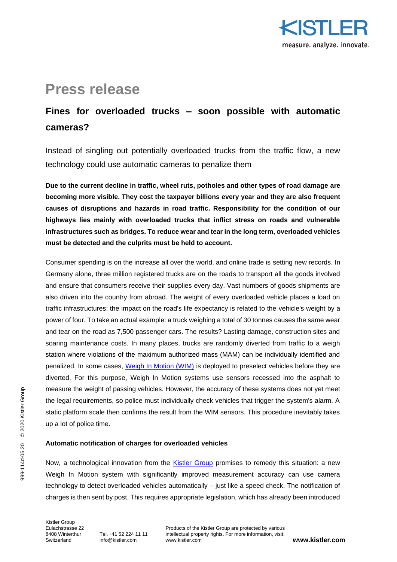

# **Press release**

# **Fines for overloaded trucks – soon possible with automatic cameras?**

Instead of singling out potentially overloaded trucks from the traffic flow, a new technology could use automatic cameras to penalize them

**Due to the current decline in traffic, wheel ruts, potholes and other types of road damage are becoming more visible. They cost the taxpayer billions every year and they are also frequent causes of disruptions and hazards in road traffic. Responsibility for the condition of our highways lies mainly with overloaded trucks that inflict stress on roads and vulnerable infrastructures such as bridges. To reduce wear and tear in the long term, overloaded vehicles must be detected and the culprits must be held to account.** 

Consumer spending is on the increase all over the world, and online trade is setting new records. In Germany alone, three million registered trucks are on the roads to transport all the goods involved and ensure that consumers receive their supplies every day. Vast numbers of goods shipments are also driven into the country from abroad. The weight of every overloaded vehicle places a load on traffic infrastructures: the impact on the road's life expectancy is related to the vehicle's weight by a power of four. To take an actual example: a truck weighing a total of 30 tonnes causes the same wear and tear on the road as 7,500 passenger cars. The results? Lasting damage, construction sites and soaring maintenance costs. In many places, trucks are randomly diverted from traffic to a weigh station where violations of the maximum authorized mass (MAM) can be individually identified and penalized. In some cases, [Weigh In Motion \(WIM\)](https://www.kistler.com/de/anwendungen/sensor-technology/weigh-in-motion/) is deployed to preselect vehicles before they are diverted. For this purpose, Weigh In Motion systems use sensors recessed into the asphalt to measure the weight of passing vehicles. However, the accuracy of these systems does not yet meet the legal requirements, so police must individually check vehicles that trigger the system's alarm. A static platform scale then confirms the result from the WIM sensors. This procedure inevitably takes up a lot of police time.

### **Automatic notification of charges for overloaded vehicles**

Now, a technological innovation from the [Kistler Group](https://www.kistler.com/) promises to remedy this situation: a new Weigh In Motion system with significantly improved measurement accuracy can use camera technology to detect overloaded vehicles automatically – just like a speed check. The notification of charges is then sent by post. This requires appropriate legislation, which has already been introduced

Kistler Group<br>Fulachstrasse 22  $Switz$ erland [info@kistler.com](mailto:info@kistler.com)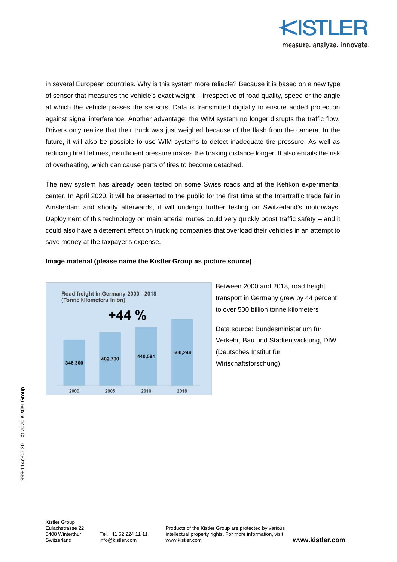

in several European countries. Why is this system more reliable? Because it is based on a new type of sensor that measures the vehicle's exact weight – irrespective of road quality, speed or the angle at which the vehicle passes the sensors. Data is transmitted digitally to ensure added protection against signal interference. Another advantage: the WIM system no longer disrupts the traffic flow. Drivers only realize that their truck was just weighed because of the flash from the camera. In the future, it will also be possible to use WIM systems to detect inadequate tire pressure. As well as reducing tire lifetimes, insufficient pressure makes the braking distance longer. It also entails the risk of overheating, which can cause parts of tires to become detached.

The new system has already been tested on some Swiss roads and at the Kefikon experimental center. In April 2020, it will be presented to the public for the first time at the Intertraffic trade fair in Amsterdam and shortly afterwards, it will undergo further testing on Switzerland's motorways. Deployment of this technology on main arterial routes could very quickly boost traffic safety – and it could also have a deterrent effect on trucking companies that overload their vehicles in an attempt to save money at the taxpayer's expense.



## **Image material (please name the Kistler Group as picture source)**

Between 2000 and 2018, road freight transport in Germany grew by 44 percent to over 500 billion tonne kilometers

Data source: Bundesministerium für Verkehr, Bau und Stadtentwicklung, DIW (Deutsches Institut für Wirtschaftsforschung)